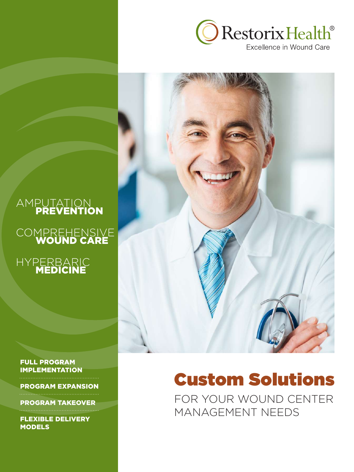

## AMPUTATION PREVENTION

## COMPREHENSIVE WOUND CARE



#### FULL PROGRAM IMPLEMENTATION

PROGRAM EXPANSION

PROGRAM TAKEOVER

FLEXIBLE DELIVERY **MODELS** 

# Custom Solutions

FOR YOUR WOUND CENTER MANAGEMENT NEEDS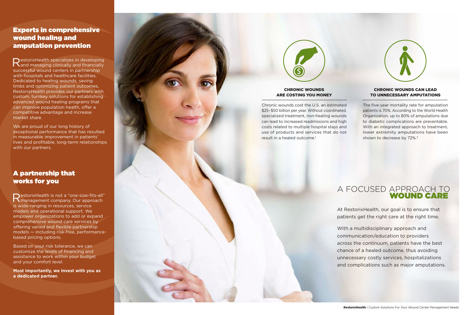The five-year mortality rate for amputation patients is 70%. According to the World Health Organization, up to 80% of amputations due to diabetic complications are preventable. With an integrated approach to treatment, lower extremity amputations have been shown to decrease by 72%.<sup>2</sup>

Chronic wounds cost the U.S. an estimated \$25–\$50 billion per year. Without coordinated, specialized treatment, non-healing wounds can lead to increased readmissions and high costs related to multiple hospital stays and use of products and services that do not result in a healed outcome. 1



# A FOCUSED APPROACH TO **Example 20 WOUND CARE**

#### CHRONIC WOUNDS ARE COSTING YOU MONEY

#### CHRONIC WOUNDS CAN LEAD TO UNNECESSARY AMPUTATIONS

RestorixHealth specializes in developing<br>Rand managing clinically and financially successful wound centers in partnership with hospitals and healthcare facilities. Dedicated to healing wounds, saving limbs and optimizing patient outcomes, RestorixHealth provides our partners with custom, turnkey solutions for establishing advanced wound healing programs that can improve population health, offer a competitive advantage and increase market share.

> At RestorixHealth, our goal is to ensure that patients get the right care at the right time.

We are proud of our long history of exceptional performance that has resulted in measurable improvement in patients' lives and profitable, long-term relationships with our partners.

> With a multidisciplinary approach and communication/education to providers across the continuum, patients have the best chance of a healed outcome, thus avoiding unnecessary costly services, hospitalizations and complications such as major amputations.

RestorixHealth is not a "one-size-fits-all"  $\blacksquare$  management company. Our approach is wide-ranging in resources, service models and operational support. We empower organizations to add or expand comprehensive wound care services by offering varied and flexible partnership models — including risk-free, performancebased pricing options.

# Experts in comprehensive wound healing and amputation prevention

Based on your risk tolerance, we can customize the levels of financing and assistance to work within your budget and your comfort level.

**Most importantly, we invest with you as a dedicated partner.** 



# A partnership that works for you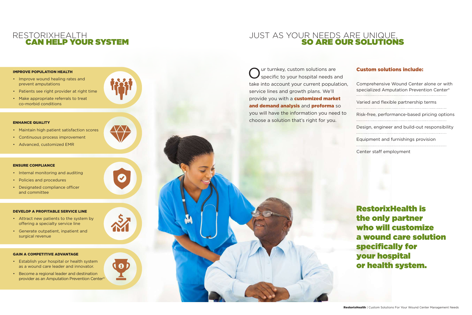# RESTORIXHEALTH CAN HELP YOUR SYSTEM

#### IMPROVE POPULATION HEALTH

- Improve wound healing rates and prevent amputations
- Patients see right provider at right time
- Make appropriate referrals to treat co-morbid conditions

#### ENHANCE QUALITY

- Maintain high patient satisfaction scores
- Continuous process improvement
- Advanced, customized EMR

#### ENSURE COMPLIANCE

- Internal monitoring and auditing
- Policies and procedures
- Designated compliance officer and committee

#### DEVELOP A PROFITABLE SERVICE LINE

- Attract new patients to the system by offering a specialty service line
- Generate outpatient, inpatient and surgical revenue

Our turnkey, custom solutions are<br> **O** specific to your hospital needs and take into account your current population, service lines and growth plans. We'll provide you with a **customized market** and demand analysis and proforma so you will have the information you need to choose a solution that's right for you.

# **SO ARE OUR SOLUTIONS**

#### GAIN A COMPETITIVE ADVANTAGE

- Establish your hospital or health system as a wound care leader and innovator.
- Become a regional leader and destination provider as an Amputation Prevention Center®



l 0

Z

VV'



#### Custom solutions include:

| Comprehensive Wound Center alone or with<br>specialized Amputation Prevention Center <sup>®</sup> |
|---------------------------------------------------------------------------------------------------|
|                                                                                                   |
| Varied and flexible partnership terms                                                             |
|                                                                                                   |
| Risk-free, performance-based pricing options                                                      |
|                                                                                                   |
| Design, engineer and build-out responsibility                                                     |
|                                                                                                   |
| Equipment and furnishings provision                                                               |
|                                                                                                   |
| Center staff employment                                                                           |

RestorixHealth is the only partner who will customize a wound care solution specifically for your hospital or health system.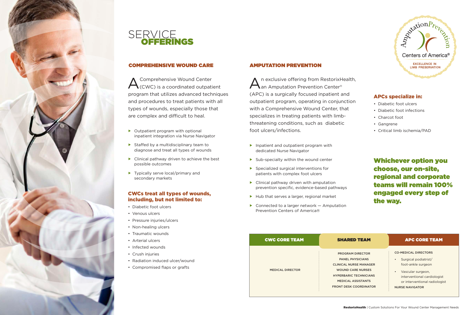



#### COMPREHENSIVE WOUND CARE

A Comprehensive Wound Center<br>
CCWC) is a coordinated outpatient program that utilizes advanced techniques and procedures to treat patients with all types of wounds, especially those that are complex and difficult to heal.

#### CWCs treat all types of wounds, including, but not limited to:

- $\triangleright$  Outpatient program with optional inpatient integration via Nurse Navigator
- $\blacktriangleright$  Staffed by a multidisciplinary team to diagnose and treat all types of wounds
- $\blacktriangleright$  Clinical pathway driven to achieve the best possible outcomes
- $\blacktriangleright$  Typically serve local/primary and secondary markets

- Diabetic foot ulcers
- Venous ulcers
- Pressure injuries/ulcers
- Non-healing ulcers
- Traumatic wounds
- Arterial ulcers
- Infected wounds
- Crush injuries
- Radiation induced ulcer/wound
- Compromised flaps or grafts
- $\blacktriangleright$  Inpatient and outpatient program with dedicated Nurse Navigator
- $\blacktriangleright$  Sub-specialty within the wound center
- $\blacktriangleright$  Specialized surgical interventions for patients with complex foot ulcers
- $\blacktriangleright$  Clinical pathway driven with amputation prevention specific, evidence-based pathways
- $\blacktriangleright$  Hub that serves a larger, regional market
- $\triangleright$  Connected to a larger network  $-$  Amputation Prevention Centers of America®

n exclusive offering from RestorixHealth, **L**an Amputation Prevention Center<sup>®</sup> (APC) is a surgically focused inpatient and outpatient program, operating in conjunction with a Comprehensive Wound Center, that specializes in treating patients with limbthreatening conditions, such as diabetic foot ulcers/infections.

### AMPUTATION PREVENTION

### APCs specialize in:

- Diabetic foot ulcers
- Diabetic foot infections
- Charcot foot
- Gangrene
- Critical limb ischemia/PAD

#### CWC CORE TEAM

MEDICAL DIRECTOR



- 
- 
- 
- 
- 
- 

#### APC CORE TEAM

#### CO-MEDICAL DIRECTORS

- Surgical podiatrist/ foot-ankle surgeon
- Vascular surgeon, interventional cardiologist or interventional radiologist NURSE NAVIGATOR

PROGRAM DIRECTOR PANEL PHYSICIANS CLINICAL NURSE MANAGER WOUND CARE NURSES HYPERBARIC TECHNICIANS MEDICAL ASSISTANTS FRONT DESK COORDINATOR

Whichever option you choose, our on-site, regional and corporate teams will remain 100% engaged every step of the way.

#### SHARED TEAM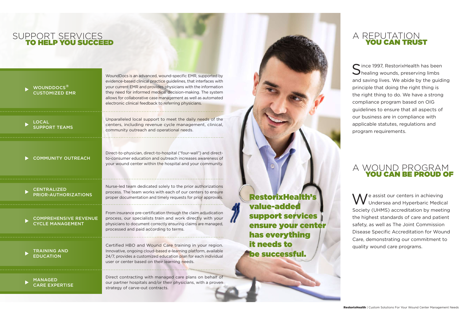# SUPPORT SERVICES TO HELP YOU SUCCEED

Nurse-led team dedicated solely to the prior authorizations process. The team works with each of our centers to ensure proper documentation and timely requests for prior approvals.

Unparalleled local support to meet the daily needs of the centers, including revenue cycle management, clinical, community outreach and operational needs.

LOCAL SUPPORT TEAMS

- COMMUNITY OUTREACH
- CENTRALIZED PRIOR-AUTHORIZATIONS
- COMPREHENSIVE REVENUE CYCLE MANAGEMENT

Direct contracting with managed care plans on behalf of our partner hospitals and/or their physicians, with a proven strategy of carve-out contracts.

MANAGED CARE EXPERTISE

#### WOUNDDOCS<sup>®</sup> CUSTOMIZED EMR

Certified HBO and Wound Care training in your region. Innovative, ongoing cloud-based e-learning platform, available 24/7, provides a customized education plan for each individual user or center based on their learning needs.

From insurance pre-certification through the claim adjudication process, our specialists train and work directly with your physicians to document correctly ensuring claims are managed, processed and paid according to terms.

#### TRAINING AND **EDUCATION**

WoundDocs is an advanced, wound-specific EMR, supported by

 $\bigcap$  ince 1997, RestorixHealth has been  $\bigcup$  healing wounds, preserving limbs and saving lives. We abide by the guiding principle that doing the right thing is the right thing to do. We have a strong compliance program based on OIG guidelines to ensure that all aspects of our business are in compliance with applicable statutes, regulations and program requirements.

evidence-based clinical practice guidelines, that interfaces with your current EMR and provides physicians with the information they need for informed medical decision-making. The system allows for collaborative case management as well as automated electronic clinical feedback to referring physicians.

> A  $\sqrt{}$  e assist our centers in achieving **V** Undersea and Hyperbaric Medical Society (UHMS) accreditation by meeting the highest standards of care and patient safety, as well as The Joint Commission Disease Specific Accreditation for Wound Care, demonstrating our commitment to quality wound care programs.

# A REPUTATION YOU CAN TRUST

# A WOUND PROGRAM YOU CAN BE PROUD OF

RestorixHealth's value-added support services ensure your center has everything it needs to be successful.

Direct-to-physician, direct-to-hospital ("four-wall") and directto-consumer education and outreach increases awareness of your wound center within the hospital and your community.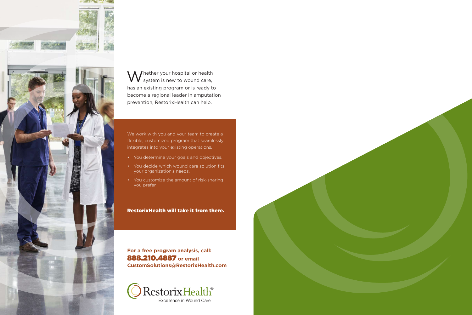

Muhether your hospital or health  $\boldsymbol{V}$  system is new to wound care, has an existing program or is ready to become a regional leader in amputation prevention, RestorixHealth can help.

We work with you and your team to create a flexible, customized program that seamlessly integrates into your existing operations.

- You determine your goals and objectives.
- You decide which wound care solution fits your organization's needs.
- You customize the amount of risk-sharing you prefer.

RestorixHealth will take it from there.

**For a free program analysis, call:** 888.210.4887 **or email CustomSolutions@RestorixHealth.com**